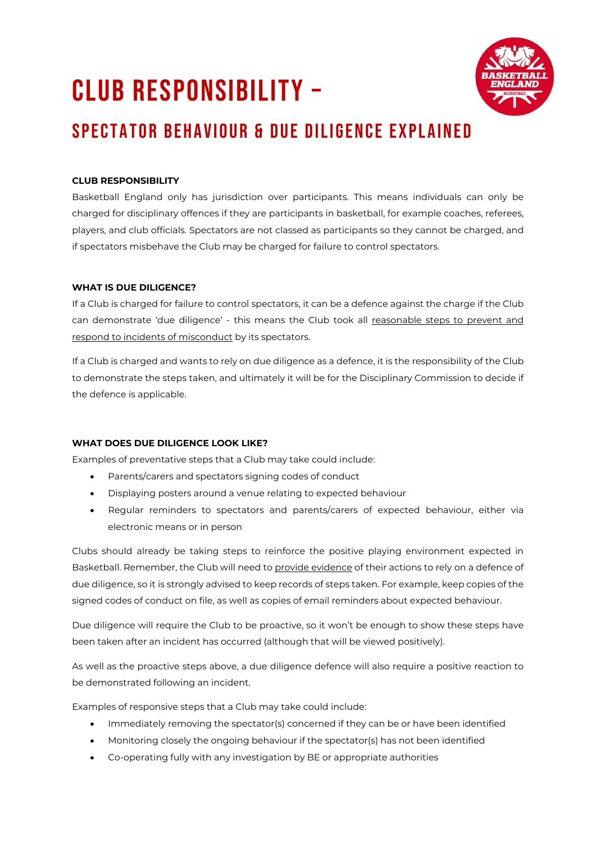# CLUB RESPONSIBILITY –



## SPECTATOR BEHAVIOUR & DUE DILIGENCE EXPLAINED

### **CLUB RESPONSIBILITY**

Basketball England only has jurisdiction over participants. This means individuals can only be charged for disciplinary offences if they are participants in basketball, for example coaches, referees, players, and club officials. Spectators are not classed as participants so they cannot be charged, and if spectators misbehave the Club may be charged for failure to control spectators.

#### **WHAT IS DUE DILIGENCE?**

If a Club is charged for failure to control spectators, it can be a defence against the charge if the Club can demonstrate 'due diligence' - this means the Club took all reasonable steps to prevent and respond to incidents of misconduct by its spectators.

If a Club is charged and wants to rely on due diligence as a defence, it is the responsibility of the Club to demonstrate the steps taken, and ultimately it will be for the Disciplinary Commission to decide if the defence is applicable.

#### **WHAT DOES DUE DILIGENCE LOOK LIKE?**

Examples of preventative steps that a Club may take could include:

- Parents/carers and spectators signing codes of conduct
- Displaying posters around a venue relating to expected behaviour
- Regular reminders to spectators and parents/carers of expected behaviour, either via electronic means or in person

Clubs should already be taking steps to reinforce the positive playing environment expected in Basketball. Remember, the Club will need to provide evidence of their actions to rely on a defence of due diligence, so it is strongly advised to keep records of steps taken. For example, keep copies of the signed codes of conduct on file, as well as copies of email reminders about expected behaviour.

Due diligence will require the Club to be proactive, so it won't be enough to show these steps have been taken after an incident has occurred (although that will be viewed positively).

As well as the proactive steps above, a due diligence defence will also require a positive reaction to be demonstrated following an incident.

Examples of responsive steps that a Club may take could include:

- Immediately removing the spectator(s) concerned if they can be or have been identified
- Monitoring closely the ongoing behaviour if the spectator(s) has not been identified
- Co-operating fully with any investigation by BE or appropriate authorities